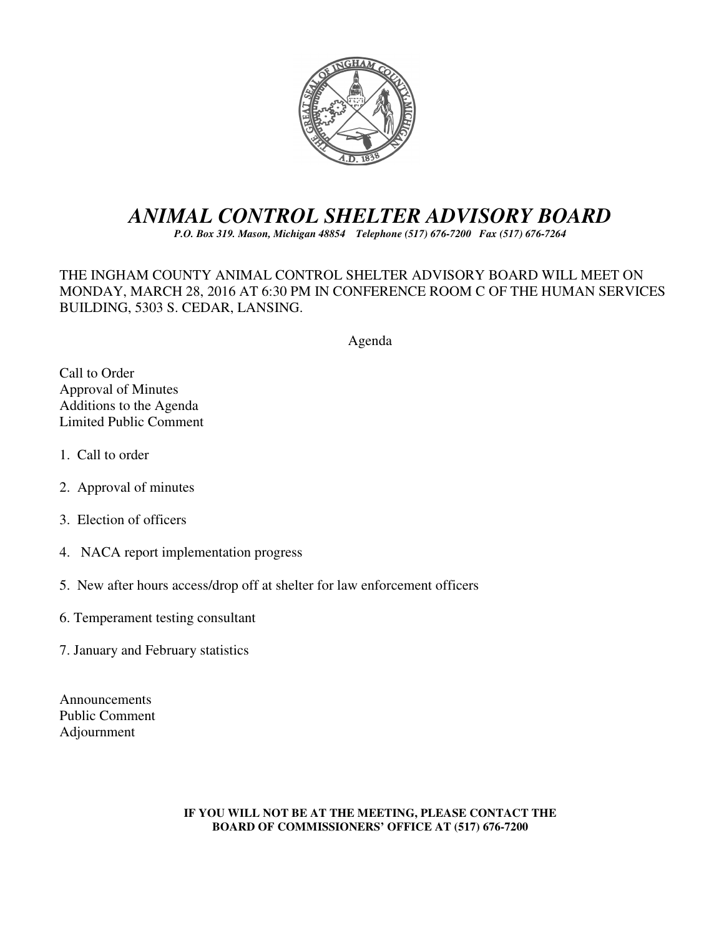

# *ANIMAL CONTROL SHELTER ADVISORY BOARD*

*P.O. Box 319. Mason, Michigan 48854 Telephone (517) 676-7200 Fax (517) 676-7264*

THE INGHAM COUNTY ANIMAL CONTROL SHELTER ADVISORY BOARD WILL MEET ON MONDAY, MARCH 28, 2016 AT 6:30 PM IN CONFERENCE ROOM C OF THE HUMAN SERVICES BUILDING, 5303 S. CEDAR, LANSING.

Agenda

Call to Order Approval of Minutes Additions to the Agenda Limited Public Comment

- 1. Call to order
- 2. Approval of minutes
- 3. Election of officers
- 4. NACA report implementation progress
- 5. New after hours access/drop off at shelter for law enforcement officers
- 6. Temperament testing consultant
- 7. January and February statistics

Announcements Public Comment Adjournment

#### **IF YOU WILL NOT BE AT THE MEETING, PLEASE CONTACT THE BOARD OF COMMISSIONERS' OFFICE AT (517) 676-7200**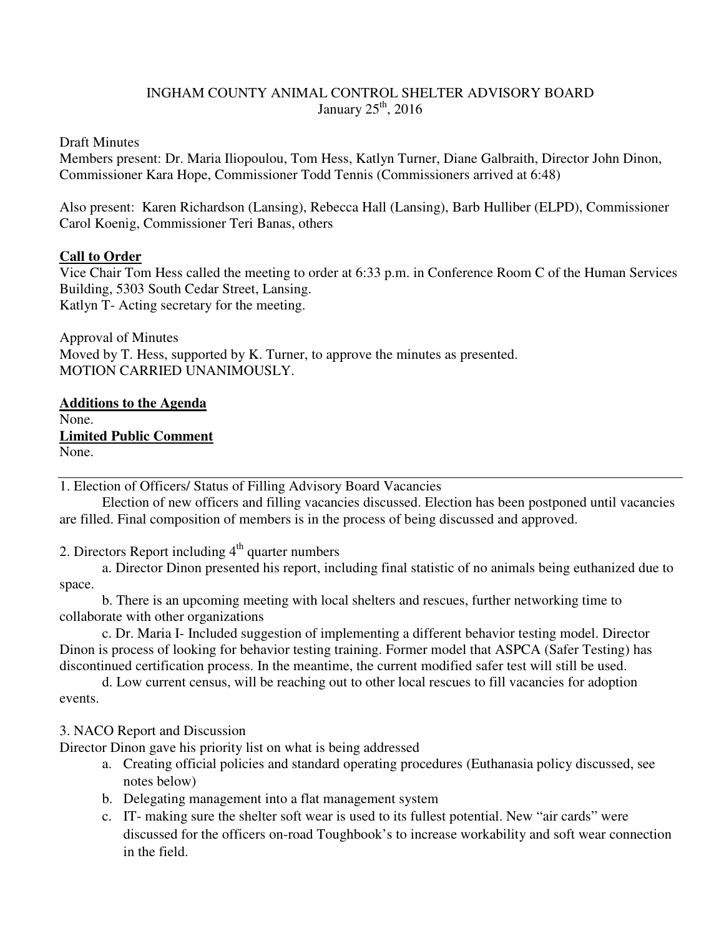# INGHAM COUNTY ANIMAL CONTROL SHELTER ADVISORY BOARD January  $25<sup>th</sup>$ , 2016

Draft Minutes

Members present: Dr. Maria Iliopoulou, Tom Hess, Katlyn Turner, Diane Galbraith, Director John Dinon, Commissioner Kara Hope, Commissioner Todd Tennis (Commissioners arrived at 6:48)

Also present: Karen Richardson (Lansing), Rebecca Hall (Lansing), Barb Hulliber (ELPD), Commissioner Carol Koenig, Commissioner Teri Banas, others

# **Call to Order**

Vice Chair Tom Hess called the meeting to order at 6:33 p.m. in Conference Room C of the Human Services Building, 5303 South Cedar Street, Lansing. Katlyn T- Acting secretary for the meeting.

Approval of Minutes Moved by T. Hess, supported by K. Turner, to approve the minutes as presented. MOTION CARRIED UNANIMOUSLY.

**Additions to the Agenda**  None. **Limited Public Comment**  None.

1. Election of Officers/ Status of Filling Advisory Board Vacancies

 Election of new officers and filling vacancies discussed. Election has been postponed until vacancies are filled. Final composition of members is in the process of being discussed and approved.

2. Directors Report including  $4<sup>th</sup>$  quarter numbers

a. Director Dinon presented his report, including final statistic of no animals being euthanized due to space.

b. There is an upcoming meeting with local shelters and rescues, further networking time to collaborate with other organizations

c. Dr. Maria I- Included suggestion of implementing a different behavior testing model. Director Dinon is process of looking for behavior testing training. Former model that ASPCA (Safer Testing) has discontinued certification process. In the meantime, the current modified safer test will still be used.

d. Low current census, will be reaching out to other local rescues to fill vacancies for adoption events.

# 3. NACO Report and Discussion

Director Dinon gave his priority list on what is being addressed

- a. Creating official policies and standard operating procedures (Euthanasia policy discussed, see notes below)
- b. Delegating management into a flat management system
- c. IT- making sure the shelter soft wear is used to its fullest potential. New "air cards" were discussed for the officers on-road Toughbook's to increase workability and soft wear connection in the field.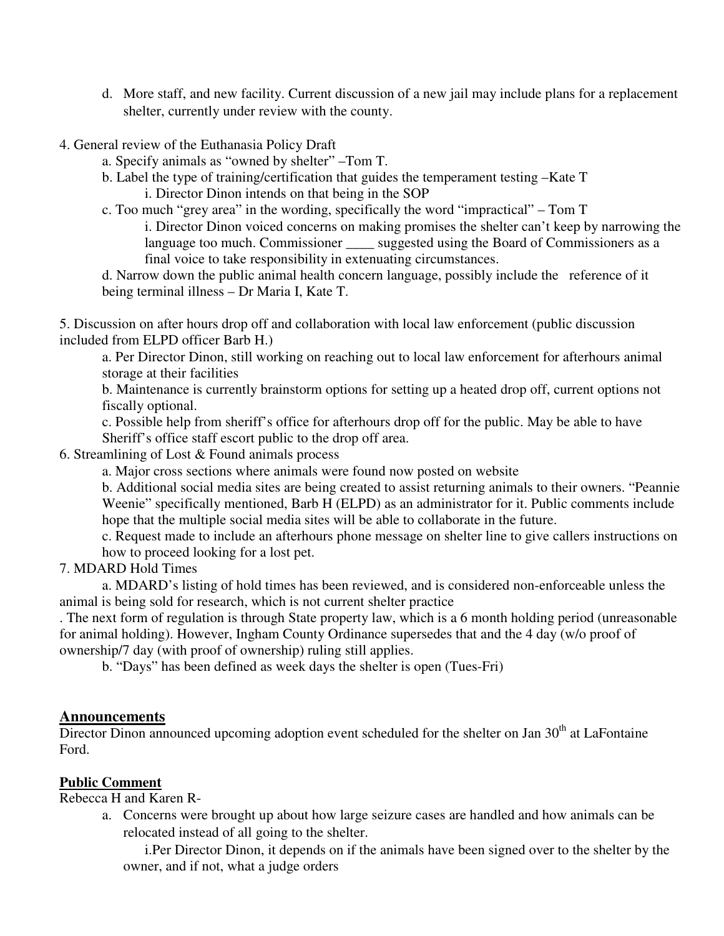- d. More staff, and new facility. Current discussion of a new jail may include plans for a replacement shelter, currently under review with the county.
- 4. General review of the Euthanasia Policy Draft
	- a. Specify animals as "owned by shelter" –Tom T.
	- b. Label the type of training/certification that guides the temperament testing –Kate T i. Director Dinon intends on that being in the SOP
	- c. Too much "grey area" in the wording, specifically the word "impractical" Tom T i. Director Dinon voiced concerns on making promises the shelter can't keep by narrowing the language too much. Commissioner \_\_\_\_\_ suggested using the Board of Commissioners as a final voice to take responsibility in extenuating circumstances.

d. Narrow down the public animal health concern language, possibly include the reference of it being terminal illness – Dr Maria I, Kate T.

5. Discussion on after hours drop off and collaboration with local law enforcement (public discussion included from ELPD officer Barb H.)

a. Per Director Dinon, still working on reaching out to local law enforcement for afterhours animal storage at their facilities

b. Maintenance is currently brainstorm options for setting up a heated drop off, current options not fiscally optional.

c. Possible help from sheriff's office for afterhours drop off for the public. May be able to have Sheriff's office staff escort public to the drop off area.

6. Streamlining of Lost & Found animals process

a. Major cross sections where animals were found now posted on website

b. Additional social media sites are being created to assist returning animals to their owners. "Peannie Weenie" specifically mentioned, Barb H (ELPD) as an administrator for it. Public comments include hope that the multiple social media sites will be able to collaborate in the future.

c. Request made to include an afterhours phone message on shelter line to give callers instructions on how to proceed looking for a lost pet.

7. MDARD Hold Times

 a. MDARD's listing of hold times has been reviewed, and is considered non-enforceable unless the animal is being sold for research, which is not current shelter practice

. The next form of regulation is through State property law, which is a 6 month holding period (unreasonable for animal holding). However, Ingham County Ordinance supersedes that and the 4 day (w/o proof of ownership/7 day (with proof of ownership) ruling still applies.

b. "Days" has been defined as week days the shelter is open (Tues-Fri)

#### **Announcements**

Director Dinon announced upcoming adoption event scheduled for the shelter on Jan  $30<sup>th</sup>$  at LaFontaine Ford.

#### **Public Comment**

Rebecca H and Karen R-

a. Concerns were brought up about how large seizure cases are handled and how animals can be relocated instead of all going to the shelter.

i.Per Director Dinon, it depends on if the animals have been signed over to the shelter by the owner, and if not, what a judge orders